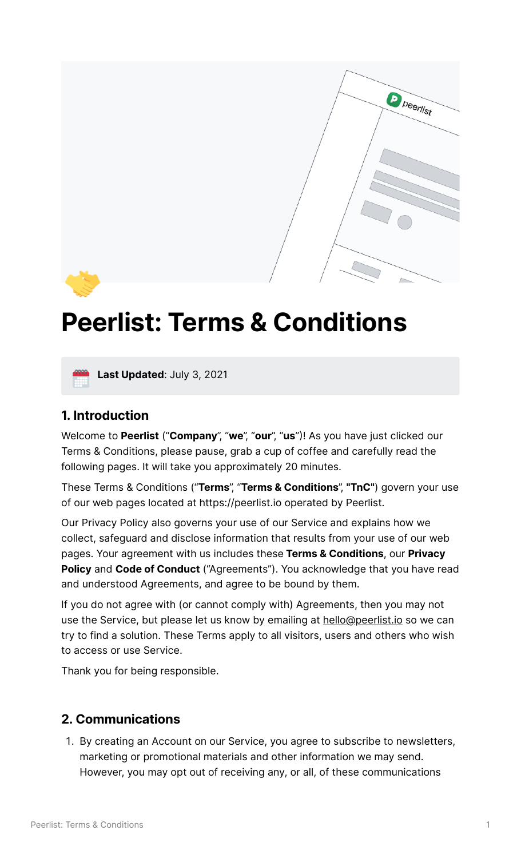

# **Peerlist: Terms & Conditions**



**Last Updated**: July 3, <sup>2021</sup>

#### **1. Introduction**

Welcome to **Peerlist** ("**Company**", "**we**", "**our**", "**us**"! As you have just clicked our Terms & Conditions, please pause, grab a cup of coffee and carefully read the following pages. It will take you approximately 20 minutes.

These Terms & Conditions ("**Terms**", "**Terms & Conditions**", **"TnC"**) govern your use of our web pages located at https://peerlist.io operated by Peerlist.

Our Privacy Policy also governs your use of our Service and explains how we collect, safeguard and disclose information that results from your use of our web pages. Your agreement with us includes these **Terms & Conditions**, our **Privacy Policy** and **Code of Conduct** ("Agreements"). You acknowledge that you have read and understood Agreements, and agree to be bound by them.

If you do not agree with (or cannot comply with) Agreements, then you may not use the Service, but please let us know by emailing at [hello@peerlist.io](mailto:hello@peerlist.io) so we can try to find a solution. These Terms apply to all visitors, users and others who wish to access or use Service.

Thank you for being responsible.

### **2. Communications**

1. By creating an Account on our Service, you agree to subscribe to newsletters, marketing or promotional materials and other information we may send. However, you may opt out of receiving any, or all, of these communications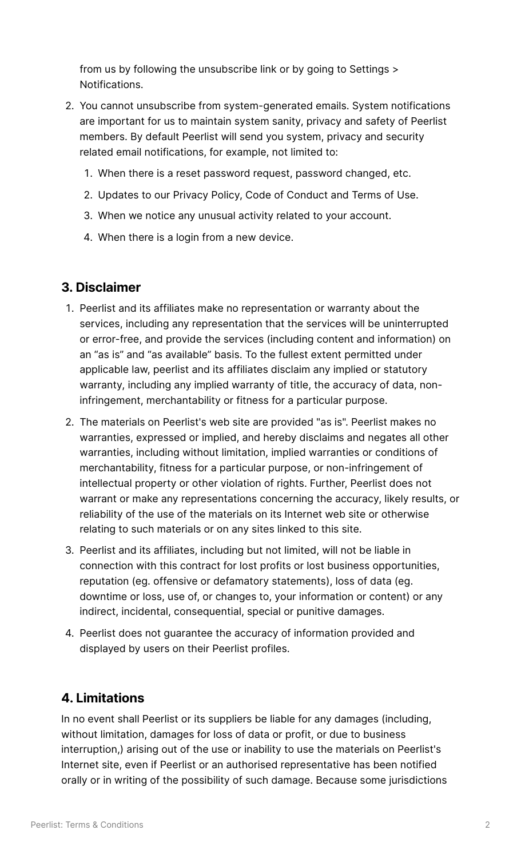from us by following the unsubscribe link or by going to Settings > Notifications.

- 2. You cannot unsubscribe from system-generated emails. System notifications are important for us to maintain system sanity, privacy and safety of Peerlist members. By default Peerlist will send you system, privacy and security related email notifications, for example, not limited to:
	- When there is a reset password request, password changed, etc.
	- 2. Updates to our Privacy Policy, Code of Conduct and Terms of Use.
	- When we notice any unusual activity related to your account.
	- When there is a login from a new device.

#### **3. Disclaimer**

- 1. Peerlist and its affiliates make no representation or warranty about the services, including any representation that the services will be uninterrupted or error-free, and provide the services (including content and information) on an "as is" and "as available" basis. To the fullest extent permitted under applicable law, peerlist and its affiliates disclaim any implied or statutory warranty, including any implied warranty of title, the accuracy of data, noninfringement, merchantability or fitness for a particular purpose.
- The materials on Peerlist's web site are provided "as is". Peerlist makes no warranties, expressed or implied, and hereby disclaims and negates all other warranties, including without limitation, implied warranties or conditions of merchantability, fitness for a particular purpose, or non-infringement of intellectual property or other violation of rights. Further, Peerlist does not warrant or make any representations concerning the accuracy, likely results, or reliability of the use of the materials on its Internet web site or otherwise relating to such materials or on any sites linked to this site.
- Peerlist and its affiliates, including but not limited, will not be liable in connection with this contract for lost profits or lost business opportunities, reputation (eg. offensive or defamatory statements), loss of data (eg. downtime or loss, use of, or changes to, your information or content) or any indirect, incidental, consequential, special or punitive damages.
- 4. Peerlist does not guarantee the accuracy of information provided and displayed by users on their Peerlist profiles.

### **4. Limitations**

In no event shall Peerlist or its suppliers be liable for any damages (including, without limitation, damages for loss of data or profit, or due to business interruption,) arising out of the use or inability to use the materials on Peerlist's Internet site, even if Peerlist or an authorised representative has been notified orally or in writing of the possibility of such damage. Because some jurisdictions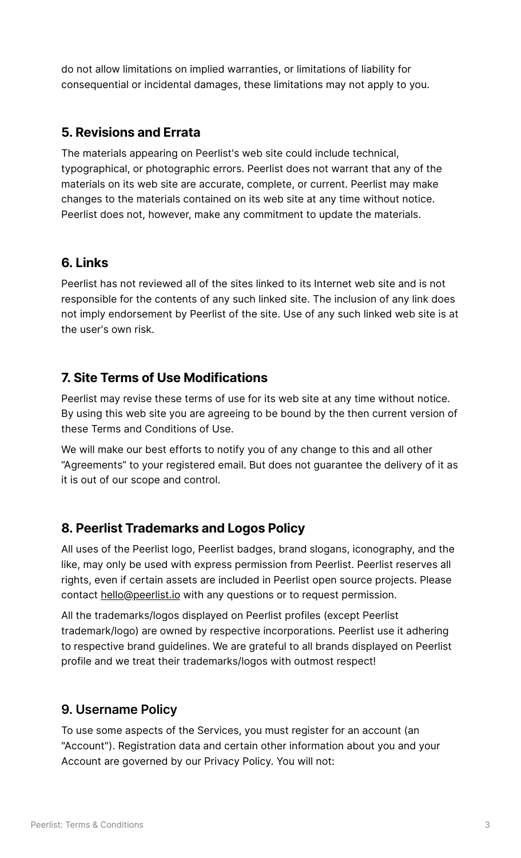do not allow limitations on implied warranties, or limitations of liability for consequential or incidental damages, these limitations may not apply to you.

### **5. Revisions and Errata**

The materials appearing on Peerlist's web site could include technical, typographical, or photographic errors. Peerlist does not warrant that any of the materials on its web site are accurate, complete, or current. Peerlist may make changes to the materials contained on its web site at any time without notice. Peerlist does not, however, make any commitment to update the materials.

### **6. Links**

Peerlist has not reviewed all of the sites linked to its Internet web site and is not responsible for the contents of any such linked site. The inclusion of any link does not imply endorsement by Peerlist of the site. Use of any such linked web site is at the user's own risk.

## **7. Site Terms of Use Modifications**

Peerlist may revise these terms of use for its web site at any time without notice. By using this web site you are agreeing to be bound by the then current version of these Terms and Conditions of Use.

We will make our best efforts to notify you of any change to this and all other "Agreements" to your registered email. But does not guarantee the delivery of it as it is out of our scope and control.

### **8. Peerlist Trademarks and Logos Policy**

All uses of the Peerlist logo, Peerlist badges, brand slogans, iconography, and the like, may only be used with express permission from Peerlist. Peerlist reserves all rights, even if certain assets are included in Peerlist open source projects. Please contact [hello@peerlist.io](mailto:hello@peerlist.io) with any questions or to request permission.

All the trademarks/logos displayed on Peerlist profiles (except Peerlist trademark/logo) are owned by respective incorporations. Peerlist use it adhering to respective brand guidelines. We are grateful to all brands displayed on Peerlist profile and we treat their trademarks/logos with outmost respect!

### **9. Username Policy**

To use some aspects of the Services, you must register for an account (an "Account"). Registration data and certain other information about you and your Account are governed by our Privacy Policy. You will not: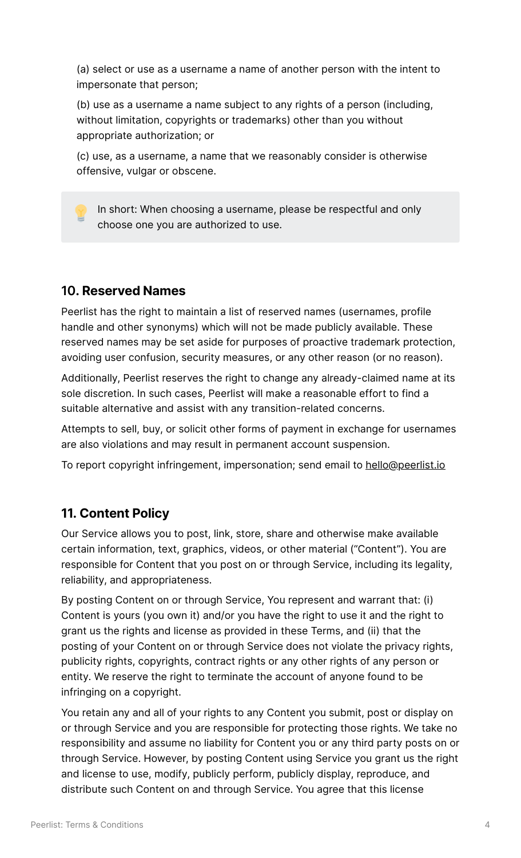(a) select or use as a username a name of another person with the intent to impersonate that person;

(b) use as a username a name subject to any rights of a person (including, without limitation, copyrights or trademarks) other than you without appropriate authorization; or

(c) use, as a username, a name that we reasonably consider is otherwise offensive, vulgar or obscene.

 In short: When choosing <sup>a</sup> username, please be respectful and only choose one you are authorized to use.

#### **10. Reserved Names**

Peerlist has the right to maintain a list of reserved names (usernames, profile handle and other synonyms) which will not be made publicly available. These reserved names may be set aside for purposes of proactive trademark protection, avoiding user confusion, security measures, or any other reason (or no reason).

Additionally, Peerlist reserves the right to change any already-claimed name at its sole discretion. In such cases, Peerlist will make a reasonable effort to find a suitable alternative and assist with any transition-related concerns.

Attempts to sell, buy, or solicit other forms of payment in exchange for usernames are also violations and may result in permanent account suspension.

To report copyright infringement, impersonation; send email to [hello@peerlist.io](mailto:hello@peerlist.io)

#### **11. Content Policy**

Our Service allows you to post, link, store, share and otherwise make available certain information, text, graphics, videos, or other material ("Content"). You are responsible for Content that you post on or through Service, including its legality, reliability, and appropriateness.

By posting Content on or through Service, You represent and warrant that: (i) Content is yours (you own it) and/or you have the right to use it and the right to grant us the rights and license as provided in these Terms, and (ii) that the posting of your Content on or through Service does not violate the privacy rights, publicity rights, copyrights, contract rights or any other rights of any person or entity. We reserve the right to terminate the account of anyone found to be infringing on a copyright.

You retain any and all of your rights to any Content you submit, post or display on or through Service and you are responsible for protecting those rights. We take no responsibility and assume no liability for Content you or any third party posts on or through Service. However, by posting Content using Service you grant us the right and license to use, modify, publicly perform, publicly display, reproduce, and distribute such Content on and through Service. You agree that this license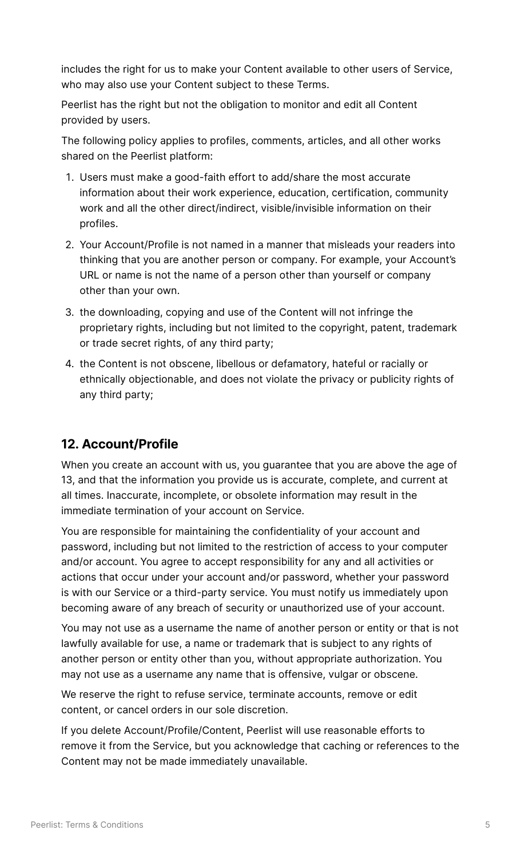includes the right for us to make your Content available to other users of Service, who may also use your Content subject to these Terms.

Peerlist has the right but not the obligation to monitor and edit all Content provided by users.

The following policy applies to profiles, comments, articles, and all other works shared on the Peerlist platform:

- Users must make a good-faith effort to add/share the most accurate information about their work experience, education, certification, community work and all the other direct/indirect, visible/invisible information on their profiles.
- 2. Your Account/Profile is not named in a manner that misleads your readers into thinking that you are another person or company. For example, your Account's URL or name is not the name of a person other than yourself or company other than your own.
- 3. the downloading, copying and use of the Content will not infringe the proprietary rights, including but not limited to the copyright, patent, trademark or trade secret rights, of any third party;
- 4. the Content is not obscene, libellous or defamatory, hateful or racially or ethnically objectionable, and does not violate the privacy or publicity rights of any third party;

## **12. Account/Profile**

When you create an account with us, you guarantee that you are above the age of 13, and that the information you provide us is accurate, complete, and current at all times. Inaccurate, incomplete, or obsolete information may result in the immediate termination of your account on Service.

You are responsible for maintaining the confidentiality of your account and password, including but not limited to the restriction of access to your computer and/or account. You agree to accept responsibility for any and all activities or actions that occur under your account and/or password, whether your password is with our Service or a third-party service. You must notify us immediately upon becoming aware of any breach of security or unauthorized use of your account.

You may not use as a username the name of another person or entity or that is not lawfully available for use, a name or trademark that is subject to any rights of another person or entity other than you, without appropriate authorization. You may not use as a username any name that is offensive, vulgar or obscene.

We reserve the right to refuse service, terminate accounts, remove or edit content, or cancel orders in our sole discretion.

If you delete Account/Profile/Content, Peerlist will use reasonable efforts to remove it from the Service, but you acknowledge that caching or references to the Content may not be made immediately unavailable.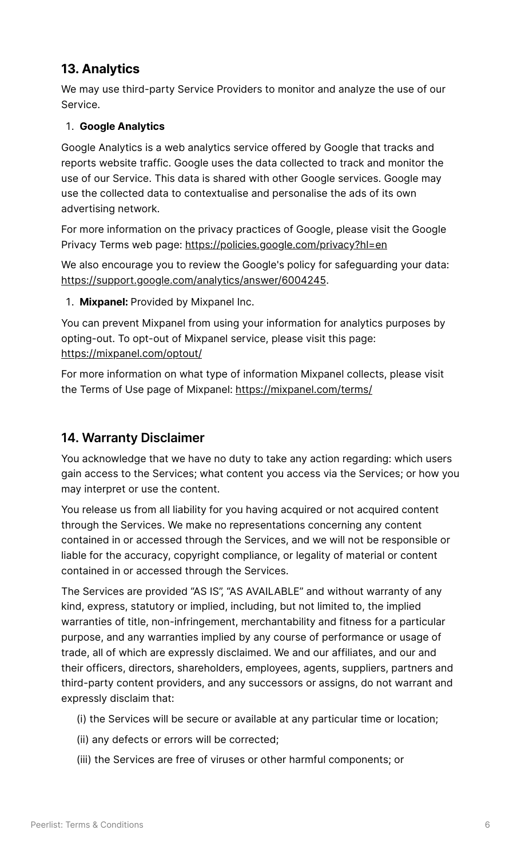## **13. Analytics**

We may use third-party Service Providers to monitor and analyze the use of our Service.

#### **Google Analytics**

Google Analytics is a web analytics service offered by Google that tracks and reports website traffic. Google uses the data collected to track and monitor the use of our Service. This data is shared with other Google services. Google may use the collected data to contextualise and personalise the ads of its own advertising network.

For more information on the privacy practices of Google, please visit the Google Privacy Terms web page: <https://policies.google.com/privacy?hl=en>

We also encourage you to review the Google's policy for safeguarding your data: <https://support.google.com/analytics/answer/6004245>.

**Mixpanel:** Provided by Mixpanel Inc.

You can prevent Mixpanel from using your information for analytics purposes by opting-out. To opt-out of Mixpanel service, please visit this page: <https://mixpanel.com/optout/>

For more information on what type of information Mixpanel collects, please visit the Terms of Use page of Mixpanel: <https://mixpanel.com/terms/>

#### **14. Warranty Disclaimer**

You acknowledge that we have no duty to take any action regarding: which users gain access to the Services; what content you access via the Services; or how you may interpret or use the content.

You release us from all liability for you having acquired or not acquired content through the Services. We make no representations concerning any content contained in or accessed through the Services, and we will not be responsible or liable for the accuracy, copyright compliance, or legality of material or content contained in or accessed through the Services.

The Services are provided "AS IS", "AS AVAILABLE" and without warranty of any kind, express, statutory or implied, including, but not limited to, the implied warranties of title, non-infringement, merchantability and fitness for a particular purpose, and any warranties implied by any course of performance or usage of trade, all of which are expressly disclaimed. We and our affiliates, and our and their officers, directors, shareholders, employees, agents, suppliers, partners and third-party content providers, and any successors or assigns, do not warrant and expressly disclaim that:

- (i) the Services will be secure or available at any particular time or location;
- (ii) any defects or errors will be corrected;
- (iii) the Services are free of viruses or other harmful components; or